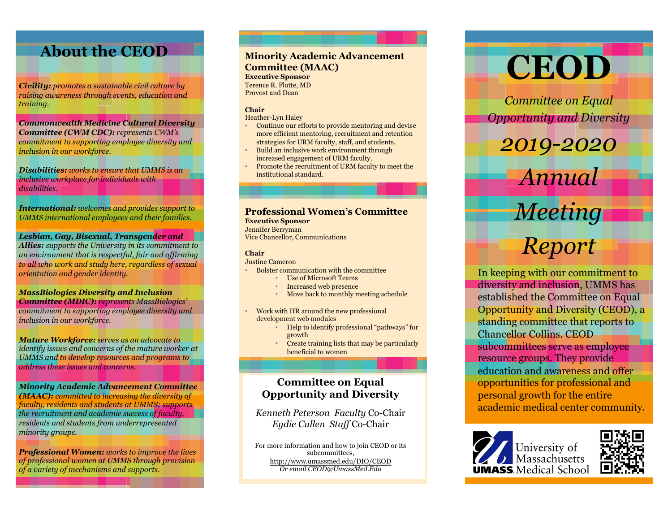# **About the CEOD**

*Civility: promotes a sustainable civil culture by raising awareness through events, education and training.*

*Commonwealth Medicine Cultural Diversity Committee (CWM CDC): represents CWM's commitment to supporting employee diversity and inclusion in our workforce.*

*Disabilities: works to ensure that UMMS is an inclusive workplace for individuals with disabilities.* 

*International: welcomes and provides support to UMMS international employees and their families.* 

*Lesbian, Gay, Bisexual, Transgender and* 

*Allies: supports the University in its commitment to an environment that is respectful, fair and affirming to all who work and study here, regardless of sexual orientation and gender identity.*

*MassBiologics Diversity and Inclusion Committee (MDIC): represents MassBiologics' commitment to supporting employee diversity and inclusion in our workforce.*

*Mature Workforce: serves as an advocate to identify issues and concerns of the mature worker at UMMS and to develop resources and programs to address these issues and concerns.*

*Minority Academic Advancement Committee (MAAC): committed to increasing the diversity of faculty, residents and students at UMMS; supports the recruitment and academic success of faculty, residents and students from underrepresented minority groups.* 

*Professional Women: works to improve the lives of professional women at UMMS through provision of a variety of mechanisms and supports.*

### **Minority Academic Advancement Committee (MAAC)**

**Executive Sponsor** Terence R. Flotte, MD Provost and Dean

### **Chair**

- Heather-Lyn Haley • Continue our efforts to provide mentoring and devise more efficient mentoring, recruitment and retention
- strategies for URM faculty, staff, and students. • Build an inclusive work environment through
- increased engagement of URM faculty.
- Promote the recruitment of URM faculty to meet the institutional standard.

# **Professional Women's Committee**

**Executive Sponsor** Jennifer Berryman Vice Chancellor, Communications

### **Chair**

### Justine Cameron

- Bolster communication with the committee
	- Use of Microsoft Teams
	- Increased web presence
	- Move back to monthly meeting schedule
- Work with HR around the new professional development web modules
	- Help to identify professional "pathways" for growth
	- Create training lists that may be particularly beneficial to women

# **Committee on Equal Opportunity and Diversity**

*Kenneth Peterson Faculty* Co-Chair *Eydie Cullen Staff* Co-Chair

For more information and how to join CEOD or its subcommittees, http://www.umassmed.edu/DIO/CEOD *Or email CEOD@UmassMed.Edu*



*Committee on Equal Opportunity and Diversity*

*2019-2020*

*Annual* 

# *Meeting*

# *Report*

In keeping with our commitment to diversity and inclusion, UMMS has established the Committee on Equal Opportunity and Diversity (CEOD), a standing committee that reports to Chancellor Collins. CEOD subcommittees serve as employee resource groups. They provide education and awareness and offer opportunities for professional and personal growth for the entire academic medical center community.